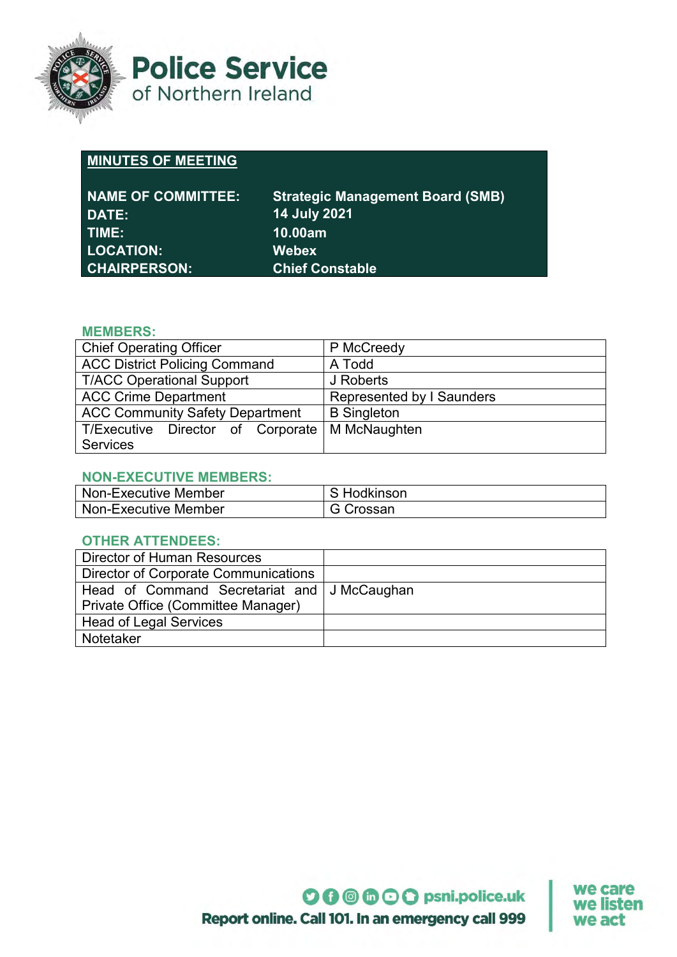

**Police Service** of Northern Ireland

# **MINUTES OF MEETING**

| <b>NAME OF COMMITTEE:</b><br><b>DATE:</b> | <b>Strategic Management Board (SMB)</b><br><b>14 July 2021</b> |
|-------------------------------------------|----------------------------------------------------------------|
| TIME:                                     | 10.00am                                                        |
| <b>LOCATION:</b>                          | <b>Webex</b>                                                   |
| <b>CHAIRPERSON:</b>                       | <b>Chief Constable</b>                                         |

## **MEMBERS:**

| <b>Chief Operating Officer</b>         | P McCreedy                |
|----------------------------------------|---------------------------|
| <b>ACC District Policing Command</b>   | A Todd                    |
| <b>T/ACC Operational Support</b>       | J Roberts                 |
| <b>ACC Crime Department</b>            | Represented by I Saunders |
| <b>ACC Community Safety Department</b> | <b>B</b> Singleton        |
| T/Executive Director of Corporate      | M McNaughten              |
| <b>Services</b>                        |                           |

#### **NON-EXECUTIVE MEMBERS:**

| Non-Executive Member | Hodkinson        |
|----------------------|------------------|
| Non-Executive Member | <b>G</b> Crossan |

#### **OTHER ATTENDEES:**

| Director of Human Resources                 |  |
|---------------------------------------------|--|
| <b>Director of Corporate Communications</b> |  |
| Head of Command Secretariat and J McCaughan |  |
| Private Office (Committee Manager)          |  |
| <b>Head of Legal Services</b>               |  |
| Notetaker                                   |  |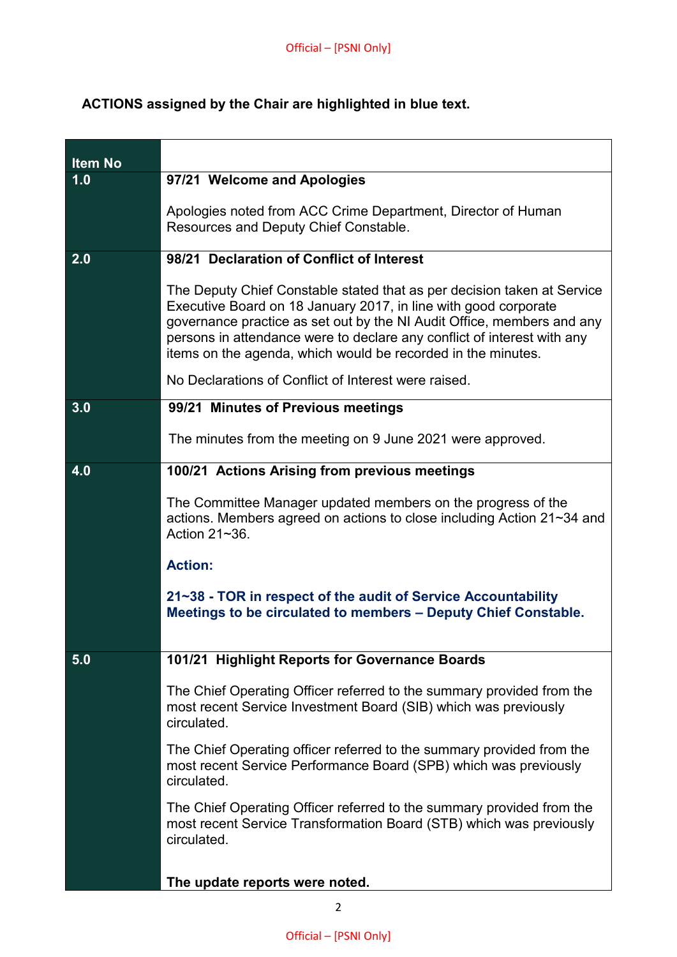# **ACTIONS assigned by the Chair are highlighted in blue text.**

| <b>Item No</b> |                                                                                                                                                                                                                                                                                                                                                                 |
|----------------|-----------------------------------------------------------------------------------------------------------------------------------------------------------------------------------------------------------------------------------------------------------------------------------------------------------------------------------------------------------------|
| 1.0            | 97/21 Welcome and Apologies                                                                                                                                                                                                                                                                                                                                     |
|                | Apologies noted from ACC Crime Department, Director of Human<br>Resources and Deputy Chief Constable.                                                                                                                                                                                                                                                           |
| 2.0            | 98/21 Declaration of Conflict of Interest                                                                                                                                                                                                                                                                                                                       |
|                | The Deputy Chief Constable stated that as per decision taken at Service<br>Executive Board on 18 January 2017, in line with good corporate<br>governance practice as set out by the NI Audit Office, members and any<br>persons in attendance were to declare any conflict of interest with any<br>items on the agenda, which would be recorded in the minutes. |
|                | No Declarations of Conflict of Interest were raised.                                                                                                                                                                                                                                                                                                            |
| 3.0            | 99/21 Minutes of Previous meetings                                                                                                                                                                                                                                                                                                                              |
|                | The minutes from the meeting on 9 June 2021 were approved.                                                                                                                                                                                                                                                                                                      |
| 4.0            | 100/21 Actions Arising from previous meetings                                                                                                                                                                                                                                                                                                                   |
|                | The Committee Manager updated members on the progress of the<br>actions. Members agreed on actions to close including Action 21~34 and<br>Action 21~36.                                                                                                                                                                                                         |
|                | <b>Action:</b>                                                                                                                                                                                                                                                                                                                                                  |
|                | 21~38 - TOR in respect of the audit of Service Accountability<br>Meetings to be circulated to members - Deputy Chief Constable.                                                                                                                                                                                                                                 |
| 5.0            | 101/21 Highlight Reports for Governance Boards                                                                                                                                                                                                                                                                                                                  |
|                | The Chief Operating Officer referred to the summary provided from the<br>most recent Service Investment Board (SIB) which was previously<br>circulated.                                                                                                                                                                                                         |
|                | The Chief Operating officer referred to the summary provided from the<br>most recent Service Performance Board (SPB) which was previously<br>circulated.                                                                                                                                                                                                        |
|                | The Chief Operating Officer referred to the summary provided from the<br>most recent Service Transformation Board (STB) which was previously<br>circulated.                                                                                                                                                                                                     |
|                | The update reports were noted.                                                                                                                                                                                                                                                                                                                                  |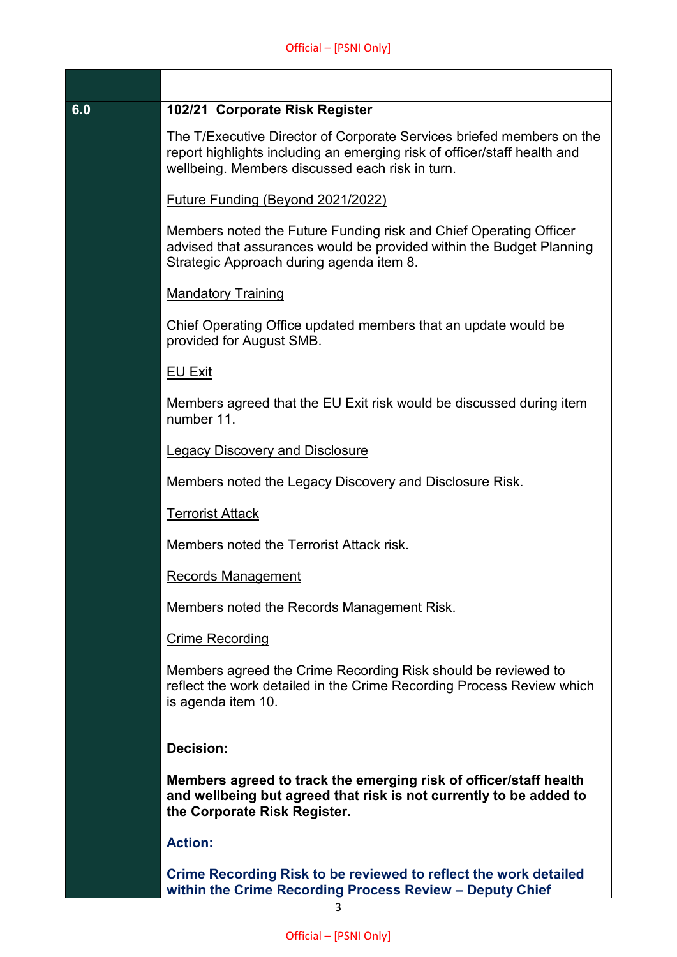| 6.0 |  |  | 102/21 Corporate Risk Register |
|-----|--|--|--------------------------------|
|-----|--|--|--------------------------------|

The T/Executive Director of Corporate Services briefed members on the report highlights including an emerging risk of officer/staff health and wellbeing. Members discussed each risk in turn.

Future Funding (Beyond 2021/2022)

Members noted the Future Funding risk and Chief Operating Officer advised that assurances would be provided within the Budget Planning Strategic Approach during agenda item 8.

#### Mandatory Training

Chief Operating Office updated members that an update would be provided for August SMB.

#### EU Exit

Members agreed that the EU Exit risk would be discussed during item number 11.

Legacy Discovery and Disclosure

Members noted the Legacy Discovery and Disclosure Risk.

Terrorist Attack

Members noted the Terrorist Attack risk.

Records Management

Members noted the Records Management Risk.

#### Crime Recording

Members agreed the Crime Recording Risk should be reviewed to reflect the work detailed in the Crime Recording Process Review which is agenda item 10.

## **Decision:**

**Members agreed to track the emerging risk of officer/staff health and wellbeing but agreed that risk is not currently to be added to the Corporate Risk Register.**

#### **Action:**

**Crime Recording Risk to be reviewed to reflect the work detailed within the Crime Recording Process Review – Deputy Chief**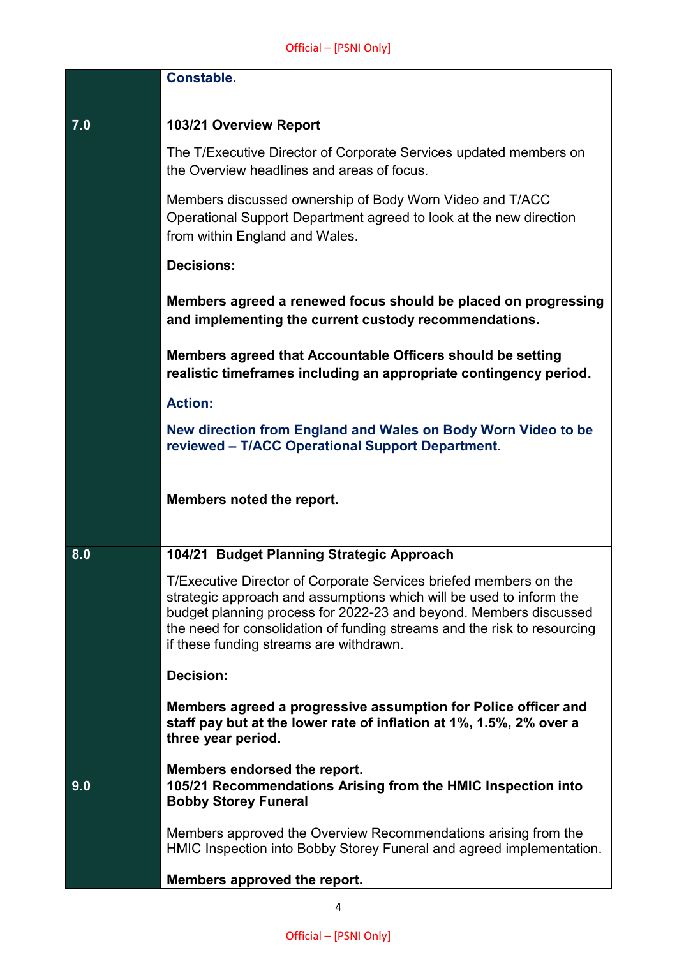|     | <b>Constable.</b>                                                                                                                                                                                                                                                                                                                    |
|-----|--------------------------------------------------------------------------------------------------------------------------------------------------------------------------------------------------------------------------------------------------------------------------------------------------------------------------------------|
|     |                                                                                                                                                                                                                                                                                                                                      |
| 7.0 | 103/21 Overview Report                                                                                                                                                                                                                                                                                                               |
|     | The T/Executive Director of Corporate Services updated members on<br>the Overview headlines and areas of focus.                                                                                                                                                                                                                      |
|     | Members discussed ownership of Body Worn Video and T/ACC<br>Operational Support Department agreed to look at the new direction<br>from within England and Wales.                                                                                                                                                                     |
|     | <b>Decisions:</b>                                                                                                                                                                                                                                                                                                                    |
|     | Members agreed a renewed focus should be placed on progressing<br>and implementing the current custody recommendations.                                                                                                                                                                                                              |
|     | Members agreed that Accountable Officers should be setting<br>realistic timeframes including an appropriate contingency period.                                                                                                                                                                                                      |
|     | <b>Action:</b>                                                                                                                                                                                                                                                                                                                       |
|     | New direction from England and Wales on Body Worn Video to be<br>reviewed - T/ACC Operational Support Department.                                                                                                                                                                                                                    |
|     | Members noted the report.                                                                                                                                                                                                                                                                                                            |
| 8.0 | 104/21 Budget Planning Strategic Approach                                                                                                                                                                                                                                                                                            |
|     | T/Executive Director of Corporate Services briefed members on the<br>strategic approach and assumptions which will be used to inform the<br>budget planning process for 2022-23 and beyond. Members discussed<br>the need for consolidation of funding streams and the risk to resourcing<br>if these funding streams are withdrawn. |
|     | <b>Decision:</b>                                                                                                                                                                                                                                                                                                                     |
|     | Members agreed a progressive assumption for Police officer and<br>staff pay but at the lower rate of inflation at 1%, 1.5%, 2% over a<br>three year period.                                                                                                                                                                          |
|     | Members endorsed the report.                                                                                                                                                                                                                                                                                                         |
| 9.0 | 105/21 Recommendations Arising from the HMIC Inspection into<br><b>Bobby Storey Funeral</b>                                                                                                                                                                                                                                          |
|     | Members approved the Overview Recommendations arising from the<br>HMIC Inspection into Bobby Storey Funeral and agreed implementation.                                                                                                                                                                                               |
|     | Members approved the report.                                                                                                                                                                                                                                                                                                         |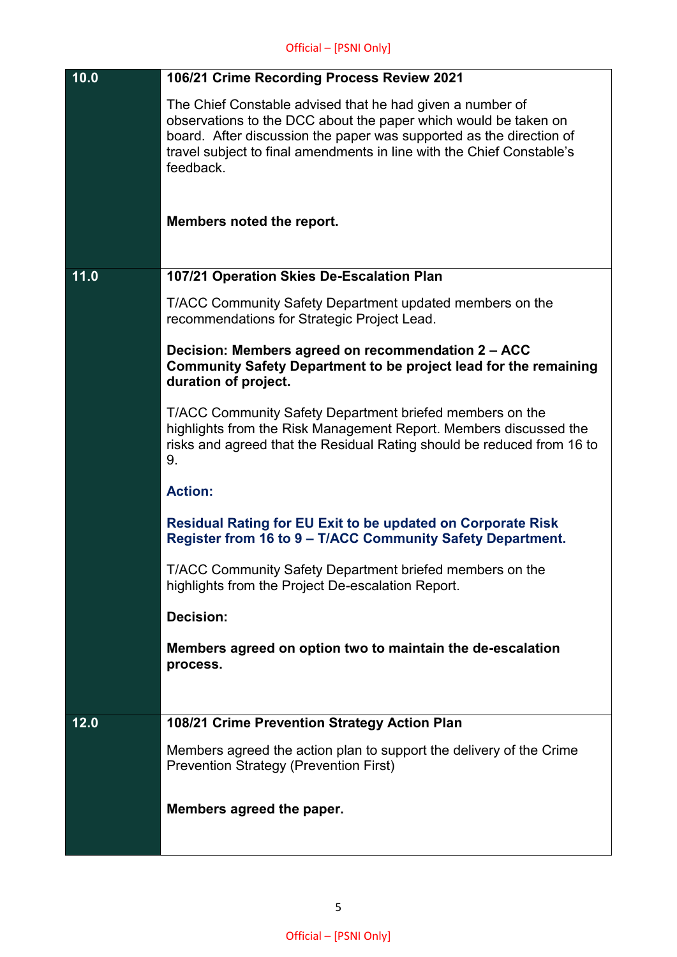| 10.0 | 106/21 Crime Recording Process Review 2021                                                                                                                                                                                                                                                |
|------|-------------------------------------------------------------------------------------------------------------------------------------------------------------------------------------------------------------------------------------------------------------------------------------------|
|      | The Chief Constable advised that he had given a number of<br>observations to the DCC about the paper which would be taken on<br>board. After discussion the paper was supported as the direction of<br>travel subject to final amendments in line with the Chief Constable's<br>feedback. |
|      | Members noted the report.                                                                                                                                                                                                                                                                 |
| 11.0 | 107/21 Operation Skies De-Escalation Plan                                                                                                                                                                                                                                                 |
|      | T/ACC Community Safety Department updated members on the<br>recommendations for Strategic Project Lead.                                                                                                                                                                                   |
|      | Decision: Members agreed on recommendation 2 - ACC<br>Community Safety Department to be project lead for the remaining<br>duration of project.                                                                                                                                            |
|      | T/ACC Community Safety Department briefed members on the<br>highlights from the Risk Management Report. Members discussed the<br>risks and agreed that the Residual Rating should be reduced from 16 to<br>9.                                                                             |
|      | <b>Action:</b>                                                                                                                                                                                                                                                                            |
|      | <b>Residual Rating for EU Exit to be updated on Corporate Risk</b><br>Register from 16 to 9 - T/ACC Community Safety Department.                                                                                                                                                          |
|      | T/ACC Community Safety Department briefed members on the<br>highlights from the Project De-escalation Report.                                                                                                                                                                             |
|      | <b>Decision:</b>                                                                                                                                                                                                                                                                          |
|      | Members agreed on option two to maintain the de-escalation<br>process.                                                                                                                                                                                                                    |
|      |                                                                                                                                                                                                                                                                                           |
| 12.0 | 108/21 Crime Prevention Strategy Action Plan                                                                                                                                                                                                                                              |
|      | Members agreed the action plan to support the delivery of the Crime<br><b>Prevention Strategy (Prevention First)</b>                                                                                                                                                                      |
|      | Members agreed the paper.                                                                                                                                                                                                                                                                 |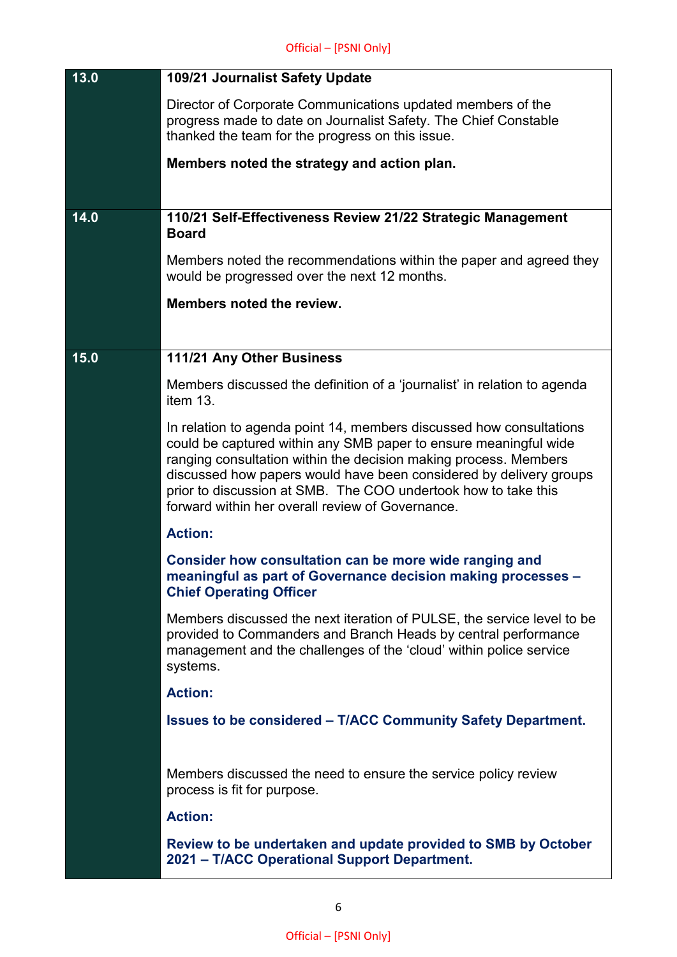| 13.0 | 109/21 Journalist Safety Update                                                                                                                                                                                                                                                                                                                                                                         |
|------|---------------------------------------------------------------------------------------------------------------------------------------------------------------------------------------------------------------------------------------------------------------------------------------------------------------------------------------------------------------------------------------------------------|
|      | Director of Corporate Communications updated members of the<br>progress made to date on Journalist Safety. The Chief Constable<br>thanked the team for the progress on this issue.                                                                                                                                                                                                                      |
|      | Members noted the strategy and action plan.                                                                                                                                                                                                                                                                                                                                                             |
|      |                                                                                                                                                                                                                                                                                                                                                                                                         |
| 14.0 | 110/21 Self-Effectiveness Review 21/22 Strategic Management<br><b>Board</b>                                                                                                                                                                                                                                                                                                                             |
|      | Members noted the recommendations within the paper and agreed they<br>would be progressed over the next 12 months.                                                                                                                                                                                                                                                                                      |
|      | Members noted the review.                                                                                                                                                                                                                                                                                                                                                                               |
|      |                                                                                                                                                                                                                                                                                                                                                                                                         |
| 15.0 | 111/21 Any Other Business                                                                                                                                                                                                                                                                                                                                                                               |
|      | Members discussed the definition of a 'journalist' in relation to agenda<br>item 13.                                                                                                                                                                                                                                                                                                                    |
|      | In relation to agenda point 14, members discussed how consultations<br>could be captured within any SMB paper to ensure meaningful wide<br>ranging consultation within the decision making process. Members<br>discussed how papers would have been considered by delivery groups<br>prior to discussion at SMB. The COO undertook how to take this<br>forward within her overall review of Governance. |
|      | <b>Action:</b>                                                                                                                                                                                                                                                                                                                                                                                          |
|      | Consider how consultation can be more wide ranging and<br>meaningful as part of Governance decision making processes -<br><b>Chief Operating Officer</b>                                                                                                                                                                                                                                                |
|      | Members discussed the next iteration of PULSE, the service level to be<br>provided to Commanders and Branch Heads by central performance<br>management and the challenges of the 'cloud' within police service<br>systems.                                                                                                                                                                              |
|      | <b>Action:</b>                                                                                                                                                                                                                                                                                                                                                                                          |
|      | <b>Issues to be considered - T/ACC Community Safety Department.</b>                                                                                                                                                                                                                                                                                                                                     |
|      |                                                                                                                                                                                                                                                                                                                                                                                                         |
|      | Members discussed the need to ensure the service policy review<br>process is fit for purpose.                                                                                                                                                                                                                                                                                                           |
|      | <b>Action:</b>                                                                                                                                                                                                                                                                                                                                                                                          |
|      | Review to be undertaken and update provided to SMB by October<br>2021 - T/ACC Operational Support Department.                                                                                                                                                                                                                                                                                           |